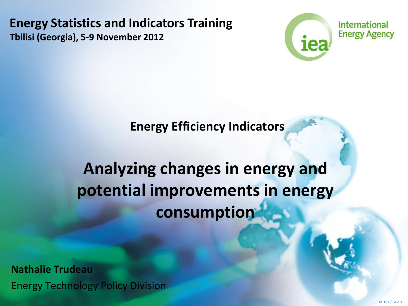**Energy Statistics and Indicators Training Tbilisi (Georgia), 5-9 November 2012**



**Energy Efficiency Indicators**

#### **Analyzing changes in energy and potential improvements in energy consumption**

**Nathalie Trudeau** Energy Technology Policy Division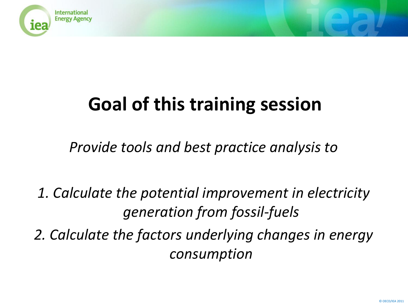

# **Goal of this training session**

*Provide tools and best practice analysis to* 

*1. Calculate the potential improvement in electricity generation from fossil-fuels*

*2. Calculate the factors underlying changes in energy consumption*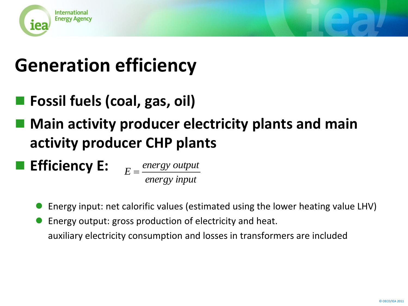

# **Generation efficiency**

- **Fossil fuels (coal, gas, oil)**
- **Main activity producer electricity plants and main activity producer CHP plants**

**Efficiency E:**

*energy input*  $E = \frac{energy~output}{f}$ 

- Energy input: net calorific values (estimated using the lower heating value LHV)
- Energy output: gross production of electricity and heat. auxiliary electricity consumption and losses in transformers are included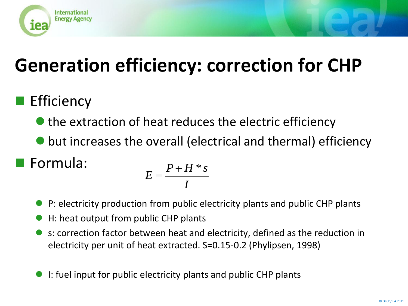

# **Generation efficiency: correction for CHP**

#### **Efficiency**

- $\bullet$  the extraction of heat reduces the electric efficiency
- but increases the overall (electrical and thermal) efficiency

Formula:

$$
E = \frac{P + H * s}{I}
$$

- P: electricity production from public electricity plants and public CHP plants
- H: heat output from public CHP plants
- s: correction factor between heat and electricity, defined as the reduction in electricity per unit of heat extracted. S=0.15-0.2 (Phylipsen, 1998)
- I: fuel input for public electricity plants and public CHP plants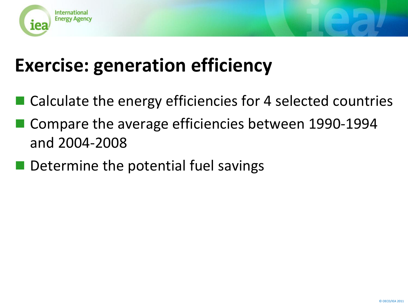

# **Exercise: generation efficiency**

- Calculate the energy efficiencies for 4 selected countries
- Compare the average efficiencies between 1990-1994 and 2004-2008
- Determine the potential fuel savings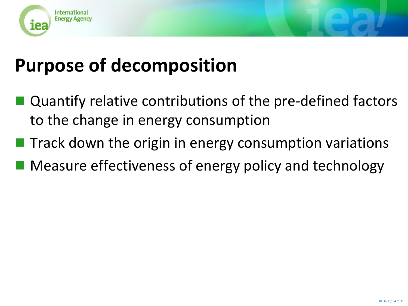

## **Purpose of decomposition**

- Quantify relative contributions of the pre-defined factors to the change in energy consumption
- $\blacksquare$  Track down the origin in energy consumption variations
- Measure effectiveness of energy policy and technology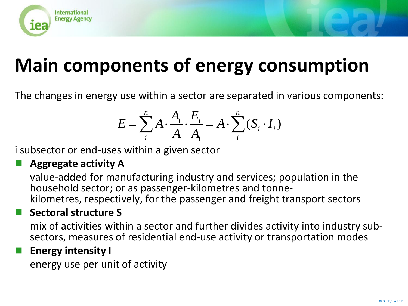

# **Main components of energy consumption**

The changes in energy use within a sector are separated in various components:

$$
E = \sum_{i}^{n} A \cdot \frac{A_i}{A} \cdot \frac{E_i}{A_i} = A \cdot \sum_{i}^{n} (S_i \cdot I_i)
$$

i subsector or end-uses within a given sector

#### **Aggregate activity A**

value-added for manufacturing industry and services; population in the household sector; or as passenger-kilometres and tonnekilometres, respectively, for the passenger and freight transport sectors

#### **Sectoral structure S**

mix of activities within a sector and further divides activity into industry subsectors, measures of residential end-use activity or transportation modes

#### **Energy intensity I**

energy use per unit of activity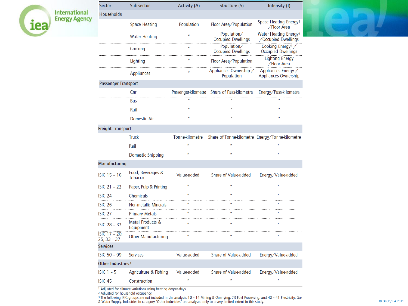| <b>International</b><br><b>Energy Agency</b> |
|----------------------------------------------|
|                                              |

| <b>Sector</b>                  | Sub-sector                          | Activity (A) | Structure (S)                               | Intensity (I)                                            |
|--------------------------------|-------------------------------------|--------------|---------------------------------------------|----------------------------------------------------------|
| <b>Households</b>              |                                     |              |                                             |                                                          |
|                                | <b>Space Heating</b>                | Population   | Floor Area/Population                       | Space Heating Energy <sup>1</sup><br>/Floor Area         |
|                                | <b>Water Heating</b>                |              | Population/<br><b>Occupied Dwellings</b>    | Water Heating Energy <sup>2</sup><br>/Occupied Dwellings |
|                                | Cooking                             |              | Population/<br><b>Occupied Dwellings</b>    | Cooking Energy <sup>2</sup><br><b>Occupied Dwellings</b> |
|                                | Lighting                            |              | Floor Area/Population                       | <b>Lighting Energy</b><br>/Floor Area                    |
|                                | Appliances                          |              | Appliances Ownership /<br>Population        | Appliances Energy /<br>Appliances Ownership              |
| <b>Passenger Transport</b>     |                                     |              |                                             |                                                          |
|                                | Car                                 |              | Passenger-kilometre Share of Pass-kilometre | Energy/Pass-kilometre                                    |
|                                | Bus                                 |              |                                             |                                                          |
|                                | Rail                                |              |                                             |                                                          |
|                                | Domestic Air                        |              |                                             |                                                          |
| <b>Freight Transport</b>       |                                     |              |                                             |                                                          |
|                                |                                     |              |                                             |                                                          |
|                                | Rail                                |              |                                             |                                                          |
|                                | Domestic Shipping                   |              |                                             |                                                          |
| Manufacturing                  |                                     |              |                                             |                                                          |
| $ISIC$ 15 - 16                 | Food, Beverages &<br><b>Tobacco</b> | Value-added  | Share of Value-added                        | Energy/Value-added                                       |
| $ISIC 21 - 22$                 | Paper, Pulp & Printing              |              |                                             |                                                          |
| ISIC 24                        | Chemicals                           |              |                                             |                                                          |
| ISIC 26                        | <b>Non-metallic Minerals</b>        |              |                                             |                                                          |
| <b>ISIC 27</b>                 | <b>Primary Metals</b>               |              |                                             |                                                          |
| <b>ISIC 28 - 32</b>            | Metal Products &<br>Equipment       |              |                                             |                                                          |
| ISIC 17 - 20,<br>$25, 33 - 37$ | <b>Other Manufacturing</b>          | $\mathbf{u}$ |                                             |                                                          |
| <b>Services</b>                |                                     |              |                                             |                                                          |
| <b>ISIC 50 - 99</b>            | <b>Services</b>                     | Value-added  | Share of Value-added                        | Energy/Value-added                                       |
| Other Industries <sup>3</sup>  |                                     |              |                                             |                                                          |
| $ISIC1 - 5$                    | Agriculture & Fishing               | Value-added  | Share of Value-added                        | Energy/Value-added                                       |
| ISIC 45                        | Construction                        |              |                                             |                                                          |



1 Adjusted for climate variations using heating degree-days.<br>2 Adjusted for household occupancy.<br>3 The following ISIC groups are not included in the analysis: 10 – 14 Mining & Quarrying; 23 Fuel Processing; and 40 – 41 Ele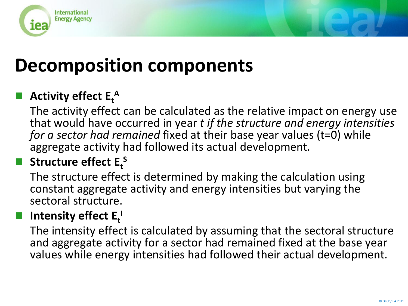

#### **Decomposition components**

#### **Activity effect**  $E_t^A$

The activity effect can be calculated as the relative impact on energy use that would have occurred in year *t if the structure and energy intensities for a sector had remained* fixed at their base year values (t=0) while aggregate activity had followed its actual development.

#### **R** Structure effect  $E_t^S$

The structure effect is determined by making the calculation using constant aggregate activity and energy intensities but varying the sectoral structure.

#### **I** Intensity effect  $E_t^1$

The intensity effect is calculated by assuming that the sectoral structure and aggregate activity for a sector had remained fixed at the base year values while energy intensities had followed their actual development.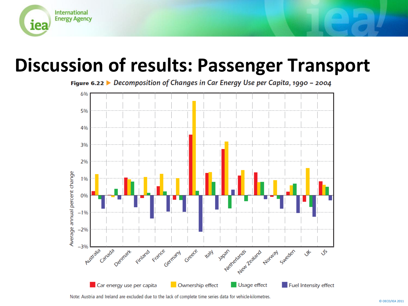

#### **Discussion of results: Passenger Transport**

Figure 6.22 ▶ Decomposition of Changes in Car Energy Use per Capita, 1990 - 2004



Note: Austria and Ireland are excluded due to the lack of complete time series data for vehicle-kilometres.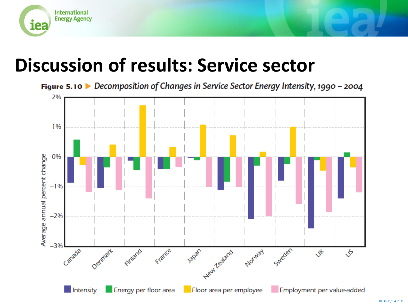

#### **Discussion of results: Service sector**

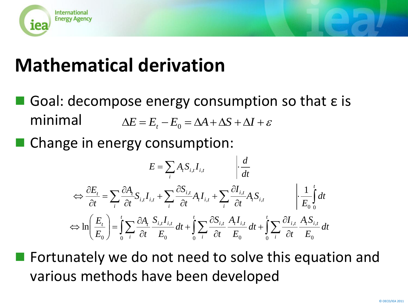

## **Mathematical derivation**

- Goal: decompose energy consumption so that ε is minimal
- Change in energy consumption:

minimal

\n
$$
\Delta E = E_{t} - E_{0} = \Delta A + \Delta S + \Delta I + \varepsilon
$$
\nChange in energy consumption:

\n
$$
E = \sum_{i} A_{i} S_{i,i} I_{i,i} \qquad \left| \frac{d}{dt} \right|
$$
\n
$$
\Leftrightarrow \frac{\partial E_{t}}{\partial t} = \sum_{i} \frac{\partial A_{i}}{\partial t} S_{i,i} I_{i,t} + \sum_{i} \frac{\partial S_{i,i}}{\partial t} A_{i} I_{i,t} + \sum_{i} \frac{\partial I_{i,i}}{\partial t} A_{i} S_{i,t} \qquad \left| \frac{1}{E_{0}} \int_{0}^{t} dt \right|
$$
\n
$$
\Leftrightarrow \ln \left( \frac{E_{t}}{E_{0}} \right) = \int_{0}^{t} \sum_{i} \frac{\partial A_{i}}{\partial t} \frac{S_{i,i} I_{i,i}}{E_{0}} dt + \int_{0}^{t} \sum_{i} \frac{\partial S_{i,i}}{\partial t} \frac{A_{i} I_{i,i}}{E_{0}} dt + \int_{0}^{t} \sum_{i} \frac{\partial I_{i,i}}{\partial t} \frac{A_{i} S_{i,i}}{E_{0}} dt
$$
\nFortunately we do not need to solve this equal

\nvarious methods have been developed

Fortunately we do not need to solve this equation and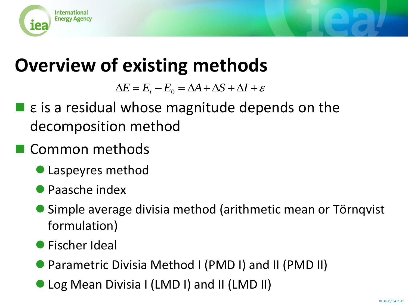

## **Overview of existing methods**

- $\blacksquare$  ε is a residual whose magnitude depends on the decomposition method  $\Delta E = E_r - E_0 = \Delta A + \Delta S + \Delta I + \varepsilon$ <br>
2. is a residual whose magnitude deperpedic<br>
2. is a residual whose magnitude deperpedicular of the secomposition methods<br>
2. Laspeyres method<br>
2. Fischer II (LMD II) and Transfering Divisia
- Common methods
	- Laspeyres method
	- Paasche index
	- Simple average divisia method (arithmetic mean or Törnqvist formulation)
	- **•** Fischer Ideal
	- Parametric Divisia Method I (PMD I) and II (PMD II)
	-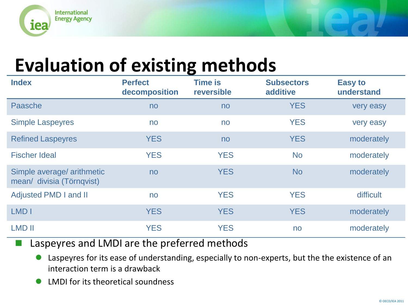

## **Evaluation of existing methods**

| <b>Index</b>                                            | <b>Perfect</b><br>decomposition | <b>Time is</b><br>reversible | <b>Subsectors</b><br>additive | <b>Easy to</b><br>understand |
|---------------------------------------------------------|---------------------------------|------------------------------|-------------------------------|------------------------------|
| Paasche                                                 | no                              | no                           | <b>YES</b>                    | very easy                    |
| <b>Simple Laspeyres</b>                                 | no                              | no                           | <b>YES</b>                    | very easy                    |
| <b>Refined Laspeyres</b>                                | <b>YES</b>                      | no                           | <b>YES</b>                    | moderately                   |
| <b>Fischer Ideal</b>                                    | <b>YES</b>                      | <b>YES</b>                   | <b>No</b>                     | moderately                   |
| Simple average/ arithmetic<br>mean/ divisia (Törnqvist) | no                              | <b>YES</b>                   | <b>No</b>                     | moderately                   |
| <b>Adjusted PMD I and II</b>                            | no                              | <b>YES</b>                   | <b>YES</b>                    | difficult                    |
| LMD I                                                   | <b>YES</b>                      | <b>YES</b>                   | <b>YES</b>                    | moderately                   |
| <b>LMD II</b>                                           | <b>YES</b>                      | <b>YES</b>                   | no                            | moderately                   |

- Laspeyres and LMDI are the preferred methods
	- Laspeyres for its ease of understanding, especially to non-experts, but the the existence of an interaction term is a drawback
	- LMDI for its theoretical soundness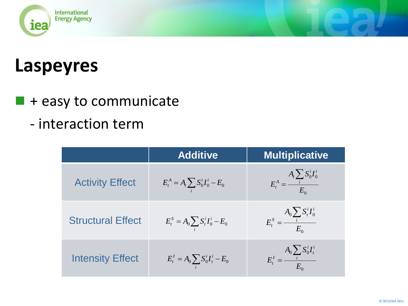

#### **Laspeyres**

 $\blacksquare$  + easy to communicate

#### - interaction term

|                          | <b>Additive</b>                          | <b>Multiplicative</b>                        |
|--------------------------|------------------------------------------|----------------------------------------------|
| <b>Activity Effect</b>   | $E_t^A = A_t \sum_i S_0^i I_0^i - E_0$   | $E_t^A = \frac{A_t \sum_i S_0^i I_0^i}{E_0}$ |
| <b>Structural Effect</b> | $E_t^S = A_0 \sum_i S_t^i I_0^i - E_0$   | $E_t^S = \frac{A_0 \sum_i S_t^i I_0^i}{E_0}$ |
| <b>Intensity Effect</b>  | $E_t^I = A_0 \sum_i S_0^i I_t^i - E_0^i$ | $E_t^I = \frac{A_0 \sum_i S_0^i I_t^i}{E_0}$ |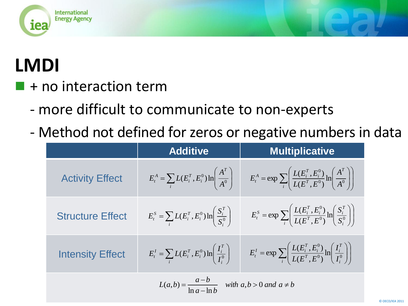

# **LMDI**

- + no interaction term
	- more difficult to communicate to non-experts
	- Method not defined for zeros or negative numbers in data

|                                                                    | <b>Additive</b>                                                                           | <b>Multiplicative</b>                                                                                           |
|--------------------------------------------------------------------|-------------------------------------------------------------------------------------------|-----------------------------------------------------------------------------------------------------------------|
| <b>Activity Effect</b>                                             | $E_t^A = \sum_i L(E_i^T, E_i^0) \ln \left( \frac{A^T}{A^0} \right)$                       | $E_t^A = \exp \sum_i \left( \frac{L(E_i^T, E_i^0)}{L(E^T, E^0)} \ln \left( \frac{A^T}{A^0} \right) \right)$     |
| <b>Structure Effect</b>                                            | $E_i^S = \sum_i L(E_i^T, E_i^0) \ln \left( \frac{S_i^T}{S_i^0} \right)$                   | $E_t^S = \exp \sum_i \left( \frac{L(E_i^T, E_i^0)}{L(E^T, E^0)} \ln \left( \frac{S_i^T}{S_i^0} \right) \right)$ |
| <b>Intensity Effect</b>                                            | $E_{t}^{I} = \sum_{i} L(E_{i}^{T}, E_{i}^{0}) \ln \left( \frac{I_{i}^{T}}{I^{0}} \right)$ | $E_t^I = \exp \sum_i \left( \frac{L(E_i^T, E_i^0)}{L(E^T, E^0)} \ln \left( \frac{I_i^T}{I_i^0} \right) \right)$ |
| $L(a,b) = \frac{a-b}{\ln a - \ln b}$ with $a,b > 0$ and $a \neq b$ |                                                                                           |                                                                                                                 |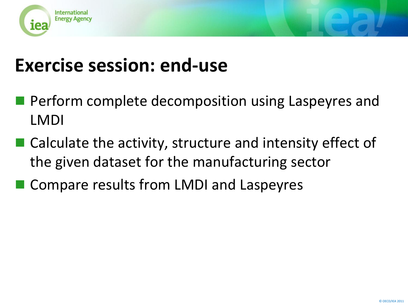

### **Exercise session: end-use**

- **Perform complete decomposition using Laspeyres and** LMDI
- Calculate the activity, structure and intensity effect of the given dataset for the manufacturing sector
- Compare results from LMDI and Laspeyres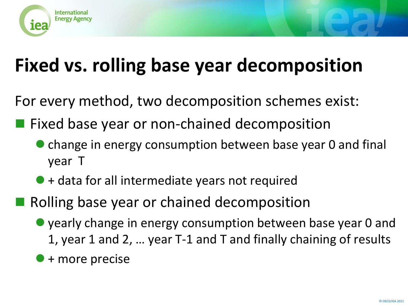

# **Fixed vs. rolling base year decomposition**

For every method, two decomposition schemes exist:

- **Fixed base year or non-chained decomposition** 
	- **change in energy consumption between base year 0 and final** year T
	- $\bullet$  + data for all intermediate years not required
- Rolling base year or chained decomposition
	- yearly change in energy consumption between base year 0 and 1, year 1 and 2, … year T-1 and T and finally chaining of results
	- + more precise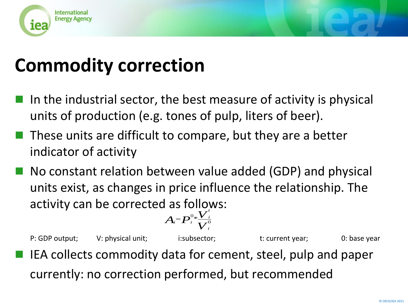

## **Commodity correction**

- In the industrial sector, the best measure of activity is physical units of production (e.g. tones of pulp, liters of beer).
- These units are difficult to compare, but they are a better indicator of activity
- No constant relation between value added (GDP) and physical units exist, as changes in price influence the relationship. The activity can be corrected as follows:

$$
A_i = P_i^{0} \frac{V_i^i}{V_i^0}
$$

P: GDP output; V: physical unit; i:subsector; t: current year; 0: base year IEA collects commodity data for cement, steel, pulp and paper currently: no correction performed, but recommended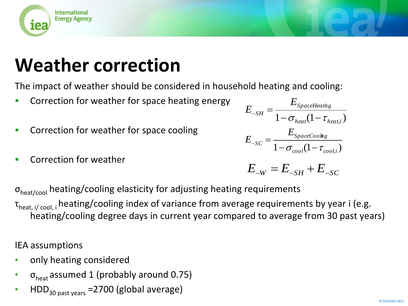

# **Weather correction**

The impact of weather should be considered in household heating and cooling:

- **Correction for weather for space heating energy**
- **Correction for weather for space cooling**
- Correction for weather

 $1 - \sigma_{heat} (1 - \tau_{heat,i})$ *SpaceHeatin g S H E E*  $\epsilon_{SH} = \frac{E_{SpaceHeat}}{1 - \sigma_{heat}(1 - \tau)}$  $1 - \sigma_{cool} (1 - \tau_{cool,i})$ *SpaceCoolin g S C E E*  $\tau_{-SC} = \frac{E_{SpaceCoolim}}{1 - \sigma_{cool}(1 - \tau)}$ 

$$
E_{\scriptscriptstyle -W} = E_{\scriptscriptstyle -SH} + E_{\scriptscriptstyle -SC}
$$

 $\sigma_{\text{heat/cool}}$  heating/cooling elasticity for adjusting heating requirements

τ<sub>heat, i/ cool, i</sub> heating/cooling index of variance from average requirements by year i (e.g. heating/cooling degree days in current year compared to average from 30 past years)

IEA assumptions

- only heating considered
- $\sigma_{\text{heat}}$  assumed 1 (probably around 0.75)
- $HDD<sub>30 past years</sub> = 2700$  (global average)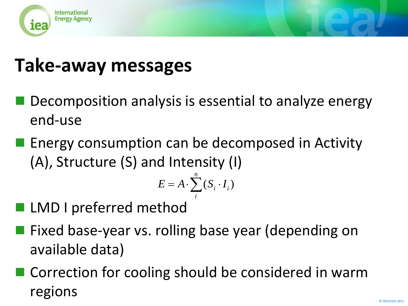

# **Take-away messages**

- Decomposition analysis is essential to analyze energy end-use
- **E** Energy consumption can be decomposed in Activity (A), Structure (S) and Intensity (I)

$$
E = A \cdot \sum_{i}^{n} (S_i \cdot I_i)
$$

- LMD I preferred method
- Fixed base-year vs. rolling base year (depending on available data)  $E = A \cdot \sum_{i} (S_i \cdot$ <br>LMD I preferred method<br>Fixed base-year vs. rolling bas<br>available data)<br>Correction for cooling should<br>regions
- Correction for cooling should be considered in warm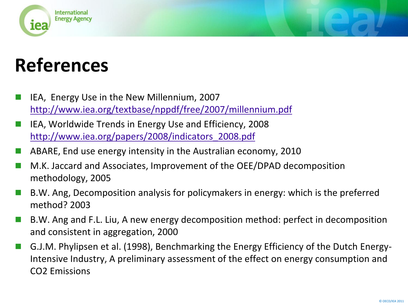

## **References**

- IEA, Energy Use in the New Millennium, 2007 <http://www.iea.org/textbase/nppdf/free/2007/millennium.pdf>
- IEA, Worldwide Trends in Energy Use and Efficiency, 2008 [http://www.iea.org/papers/2008/indicators\\_2008.pdf](http://www.iea.org/papers/2008/indicators_2008.pdf)
- ABARE, End use energy intensity in the Australian economy, 2010
- M.K. Jaccard and Associates, Improvement of the OEE/DPAD decomposition methodology, 2005
- B.W. Ang, Decomposition analysis for policymakers in energy: which is the preferred method? 2003
- B.W. Ang and F.L. Liu, A new energy decomposition method: perfect in decomposition and consistent in aggregation, 2000
- G.J.M. Phylipsen et al. (1998), Benchmarking the Energy Efficiency of the Dutch Energy-Intensive Industry, A preliminary assessment of the effect on energy consumption and CO2 Emissions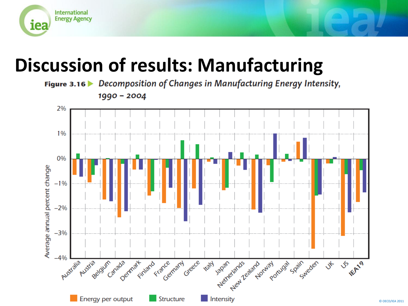

## **Discussion of results: Manufacturing**

Figure 3.16 Decomposition of Changes in Manufacturing Energy Intensity,